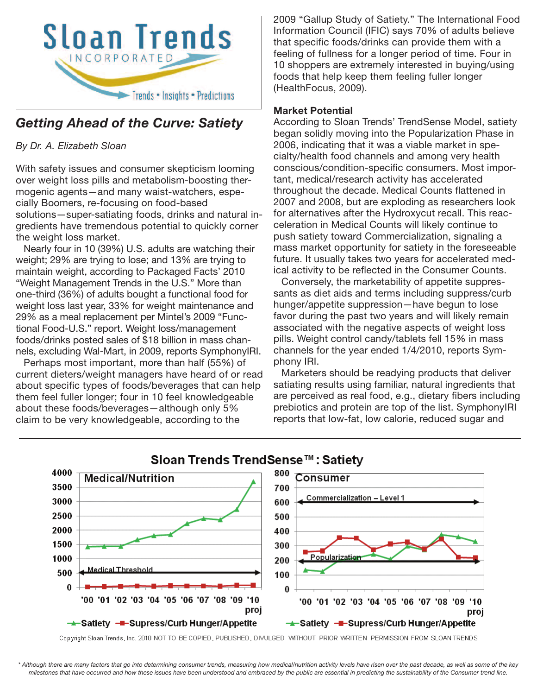

# *Getting Ahead of the Curve: Satiety*

*By Dr. A. Elizabeth Sloan*

With safety issues and consumer skepticism looming over weight loss pills and metabolism-boosting thermogenic agents—and many waist-watchers, especially Boomers, re-focusing on food-based solutions—super-satiating foods, drinks and natural ingredients have tremendous potential to quickly corner the weight loss market.

Nearly four in 10 (39%) U.S. adults are watching their weight; 29% are trying to lose; and 13% are trying to maintain weight, according to Packaged Facts' 2010 "Weight Management Trends in the U.S." More than one-third (36%) of adults bought a functional food for weight loss last year, 33% for weight maintenance and 29% as a meal replacement per Mintel's 2009 "Functional Food-U.S." report. Weight loss/management foods/drinks posted sales of \$18 billion in mass channels, excluding Wal-Mart, in 2009, reports SymphonyIRI.

Perhaps most important, more than half (55%) of current dieters/weight managers have heard of or read about specific types of foods/beverages that can help them feel fuller longer; four in 10 feel knowledgeable about these foods/beverages—although only 5% claim to be very knowledgeable, according to the

2009 "Gallup Study of Satiety." The International Food Information Council (IFIC) says 70% of adults believe that specific foods/drinks can provide them with a feeling of fullness for a longer period of time. Four in 10 shoppers are extremely interested in buying/using foods that help keep them feeling fuller longer (HealthFocus, 2009).

## **Market Potential**

According to Sloan Trends' TrendSense Model, satiety began solidly moving into the Popularization Phase in 2006, indicating that it was a viable market in specialty/health food channels and among very health conscious/condition-specific consumers. Most important, medical/research activity has accelerated throughout the decade. Medical Counts flattened in 2007 and 2008, but are exploding as researchers look for alternatives after the Hydroxycut recall. This reacceleration in Medical Counts will likely continue to push satiety toward Commercialization, signaling a mass market opportunity for satiety in the foreseeable future. It usually takes two years for accelerated medical activity to be reflected in the Consumer Counts.

Conversely, the marketability of appetite suppressants as diet aids and terms including suppress/curb hunger/appetite suppression—have begun to lose favor during the past two years and will likely remain associated with the negative aspects of weight loss pills. Weight control candy/tablets fell 15% in mass channels for the year ended 1/4/2010, reports Symphony IRI.

Marketers should be readying products that deliver satiating results using familiar, natural ingredients that are perceived as real food, e.g., dietary fibers including prebiotics and protein are top of the list. SymphonyIRI reports that low-fat, low calorie, reduced sugar and



# Sloan Trends TrendSense™: Satietv

Copyright Sloan Trends, Inc. 2010 NOT TO BE COPIED, PUBLISHED, DIVULGED WITHOUT PRIOR WRITTEN PERMISSION FROM SLOAN TRENDS

\* Although there are many factors that go into determining consumer trends, measuring how medical/nutrition activity levels have risen over the past decade, as well as some of the key milestones that have occurred and how these issues have been understood and embraced by the public are essential in predicting the sustainability of the Consumer trend line.